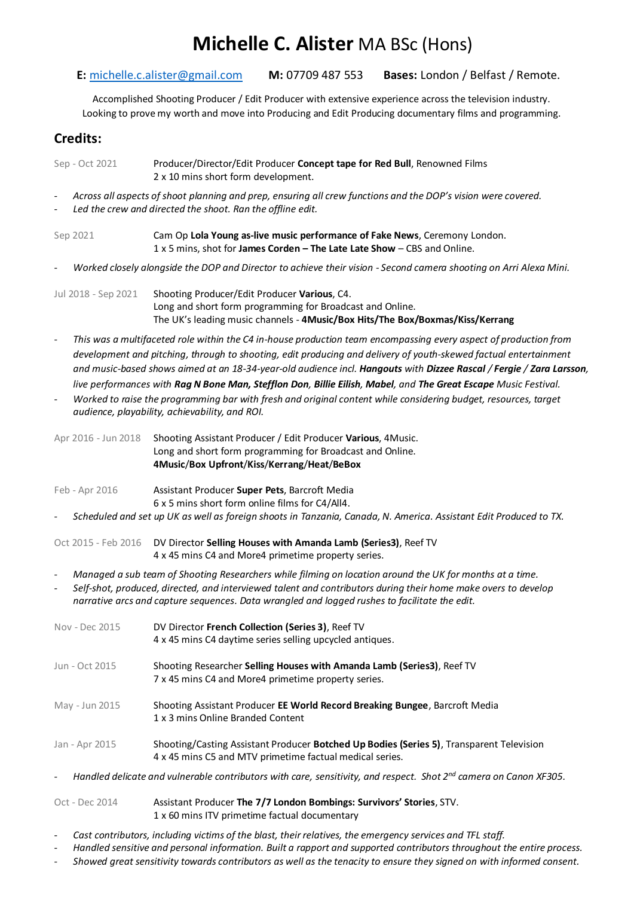# **Michelle C. Alister** MA BSc (Hons)

#### **E:** [michelle.c.alister@gmail.com](mailto:michelle.c.alister@gmail.com) **M:** 07709 487 553 **Bases:** London / Belfast / Remote.

Accomplished Shooting Producer / Edit Producer with extensive experience across the television industry. Looking to prove my worth and move into Producing and Edit Producing documentary films and programming.

### **Credits:**

Sep - Oct 2021 Producer/Director/Edit Producer **Concept tape for Red Bull**, Renowned Films 2 x 10 mins short form development.

- *- Across all aspects of shoot planning and prep, ensuring all crew functions and the DOP's vision were covered.*
- *- Led the crew and directed the shoot. Ran the offline edit.*

Sep 2021 Cam Op **Lola Young as-live music performance of Fake News**, Ceremony London. 1 x 5 mins, shot for **James Corden – The Late Late Show** – CBS and Online.

*- Worked closely alongside the DOP and Director to achieve their vision - Second camera shooting on Arri Alexa Mini.*

Jul 2018 - Sep 2021 Shooting Producer/Edit Producer **Various**, C4. Long and short form programming for Broadcast and Online. The UK's leading music channels - **4Music/Box Hits/The Box/Boxmas/Kiss/Kerrang**

- *- This was a multifaceted role within the C4 in-house production team encompassing every aspect of production from development and pitching, through to shooting, edit producing and delivery of youth-skewed factual entertainment and music-based shows aimed at an 18-34-year-old audience incl. Hangouts with Dizzee Rascal / Fergie / Zara Larsson, live performances with Rag N Bone Man, Stefflon Don, Billie Eilish, Mabel, and The Great Escape Music Festival.*
- *- Worked to raise the programming bar with fresh and original content while considering budget, resources, target audience, playability, achievability, and ROI.*

Apr 2016 - Jun 2018 Shooting Assistant Producer / Edit Producer **Various**, 4Music. Long and short form programming for Broadcast and Online. **4Music**/**Box Upfront**/**Kiss**/**Kerrang**/**Heat**/**BeBox**

- Feb Apr 2016 Assistant Producer **Super Pets**, Barcroft Media 6 x 5 mins short form online films for C4/All4.
- *- Scheduled and set up UK as well as foreign shoots in Tanzania, Canada, N. America. Assistant Edit Produced to TX.*
- Oct 2015 Feb 2016 DV Director **Selling Houses with Amanda Lamb (Series3)**, Reef TV 4 x 45 mins C4 and More4 primetime property series.
- *- Managed a sub team of Shooting Researchers while filming on location around the UK for months at a time.*
- *- Self-shot, produced, directed, and interviewed talent and contributors during their home make overs to develop narrative arcs and capture sequences. Data wrangled and logged rushes to facilitate the edit.*

| Nov - Dec 2015 | DV Director French Collection (Series 3), Reef TV<br>4 x 45 mins C4 daytime series selling upcycled antiques.                                        |
|----------------|------------------------------------------------------------------------------------------------------------------------------------------------------|
| Jun - Oct 2015 | Shooting Researcher Selling Houses with Amanda Lamb (Series3), Reef TV<br>7 x 45 mins C4 and More4 primetime property series.                        |
| May - Jun 2015 | Shooting Assistant Producer EE World Record Breaking Bungee, Barcroft Media<br>1 x 3 mins Online Branded Content                                     |
| Jan - Apr 2015 | Shooting/Casting Assistant Producer Botched Up Bodies (Series 5), Transparent Television<br>4 x 45 mins C5 and MTV primetime factual medical series. |

*- Handled delicate and vulnerable contributors with care, sensitivity, and respect. Shot 2nd camera on Canon XF305.* 

Oct - Dec 2014 Assistant Producer **The 7/7 London Bombings: Survivors' Stories**, STV. 1 x 60 mins ITV primetime factual documentary

- *- Cast contributors, including victims of the blast, their relatives, the emergency services and TFL staff.*
- *- Handled sensitive and personal information. Built a rapport and supported contributors throughout the entire process.*
- *- Showed great sensitivity towards contributors as well as the tenacity to ensure they signed on with informed consent.*